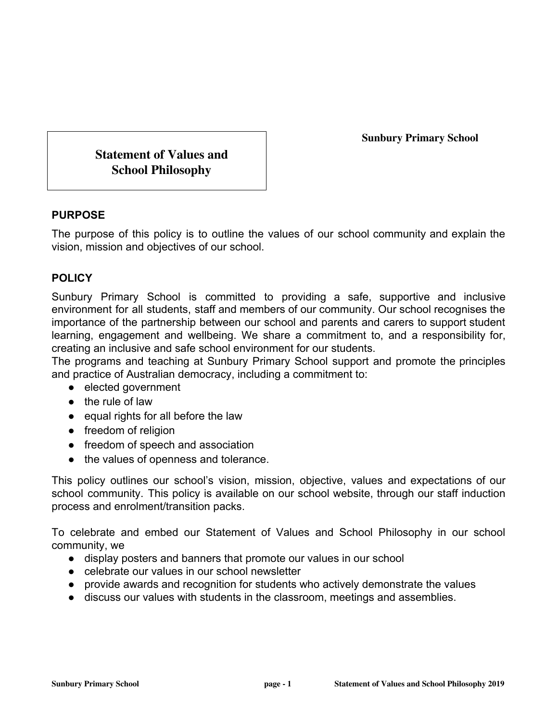



### **PURPOSE**

The purpose of this policy is to outline the values of our school community and explain the vision, mission and objectives of our school.

## **POLICY**

Sunbury Primary School is committed to providing a safe, supportive and inclusive environment for all students, staff and members of our community. Our school recognises the importance of the partnership between our school and parents and carers to support student learning, engagement and wellbeing. We share a commitment to, and a responsibility for, creating an inclusive and safe school environment for our students.

The programs and teaching at Sunbury Primary School support and promote the principles and practice of Australian democracy, including a commitment to:

- elected government
- the rule of law
- equal rights for all before the law
- freedom of religion
- freedom of speech and association
- the values of openness and tolerance.

This policy outlines our school's vision, mission, objective, values and expectations of our school community. This policy is available on our school website, through our staff induction process and enrolment/transition packs.

To celebrate and embed our Statement of Values and School Philosophy in our school community, we

- display posters and banners that promote our values in our school
- celebrate our values in our school newsletter
- provide awards and recognition for students who actively demonstrate the values
- discuss our values with students in the classroom, meetings and assemblies.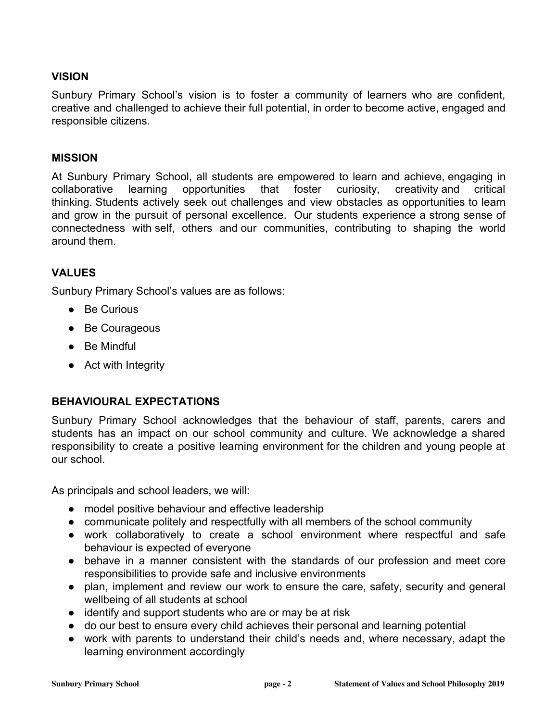## **VISION**

Sunbury Primary School's vision is to foster a community of learners who are confident, creative and challenged to achieve their full potential, in order to become active, engaged and responsible citizens.

#### **MISSION**

At Sunbury Primary School, all students are empowered to learn and achieve, engaging in collaborative learning opportunities that foster curiosity, creativity and critical thinking. Students actively seek out challenges and view obstacles as opportunities to learn and grow in the pursuit of personal excellence. Our students experience a strong sense of connectedness with self, others and our communities, contributing to shaping the world around them.

### **VALUES**

Sunbury Primary School's values are as follows:

- Be Curious
- Be Courageous
- Be Mindful
- Act with Integrity

### **BEHAVIOURAL EXPECTATIONS**

Sunbury Primary School acknowledges that the behaviour of staff, parents, carers and students has an impact on our school community and culture. We acknowledge a shared responsibility to create a positive learning environment for the children and young people at our school.

As principals and school leaders, we will:

- model positive behaviour and effective leadership
- communicate politely and respectfully with all members of the school community
- work collaboratively to create a school environment where respectful and safe behaviour is expected of everyone
- behave in a manner consistent with the standards of our profession and meet core responsibilities to provide safe and inclusive environments
- plan, implement and review our work to ensure the care, safety, security and general wellbeing of all students at school
- identify and support students who are or may be at risk
- do our best to ensure every child achieves their personal and learning potential
- work with parents to understand their child's needs and, where necessary, adapt the learning environment accordingly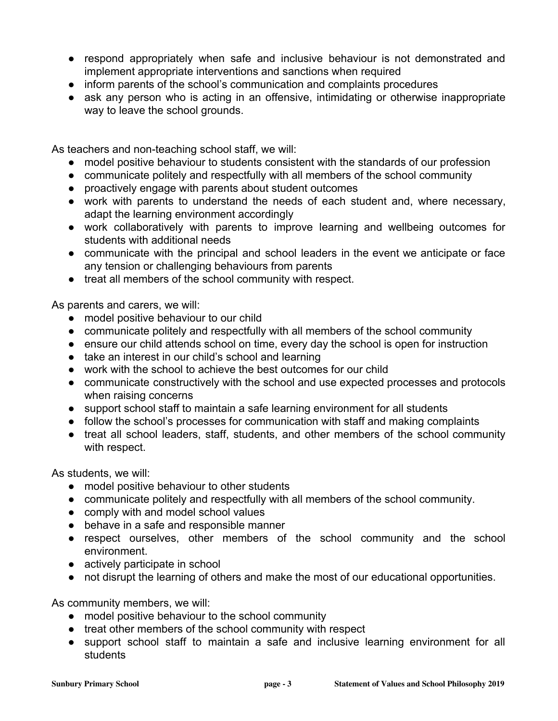- respond appropriately when safe and inclusive behaviour is not demonstrated and implement appropriate interventions and sanctions when required
- inform parents of the school's communication and complaints procedures
- ask any person who is acting in an offensive, intimidating or otherwise inappropriate way to leave the school grounds.

As teachers and non-teaching school staff, we will:

- model positive behaviour to students consistent with the standards of our profession
- communicate politely and respectfully with all members of the school community
- proactively engage with parents about student outcomes
- work with parents to understand the needs of each student and, where necessary, adapt the learning environment accordingly
- work collaboratively with parents to improve learning and wellbeing outcomes for students with additional needs
- communicate with the principal and school leaders in the event we anticipate or face any tension or challenging behaviours from parents
- treat all members of the school community with respect.

As parents and carers, we will:

- model positive behaviour to our child
- communicate politely and respectfully with all members of the school community
- ensure our child attends school on time, every day the school is open for instruction
- take an interest in our child's school and learning
- work with the school to achieve the best outcomes for our child
- communicate constructively with the school and use expected processes and protocols when raising concerns
- support school staff to maintain a safe learning environment for all students
- follow the school's processes for communication with staff and making complaints
- treat all school leaders, staff, students, and other members of the school community with respect.

As students, we will:

- model positive behaviour to other students
- communicate politely and respectfully with all members of the school community.
- comply with and model school values
- behave in a safe and responsible manner
- respect ourselves, other members of the school community and the school environment.
- actively participate in school
- not disrupt the learning of others and make the most of our educational opportunities.

As community members, we will:

- model positive behaviour to the school community
- treat other members of the school community with respect
- support school staff to maintain a safe and inclusive learning environment for all students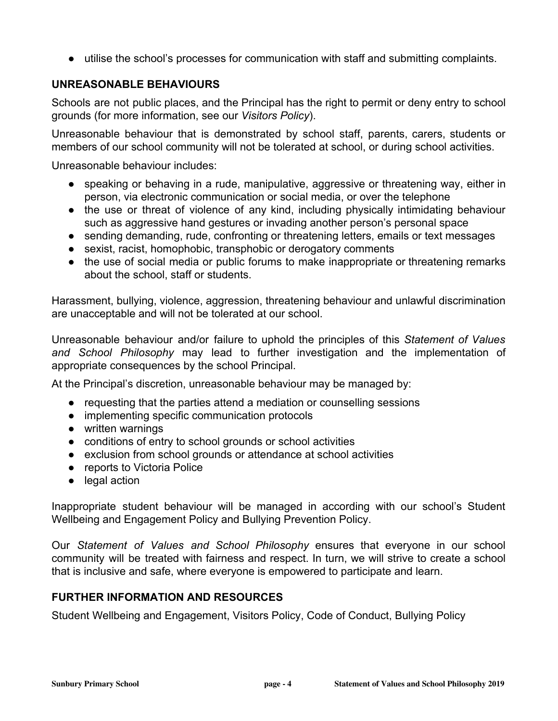● utilise the school's processes for communication with staff and submitting complaints.

## **UNREASONABLE BEHAVIOURS**

Schools are not public places, and the Principal has the right to permit or deny entry to school grounds (for more information, see our *Visitors Policy*).

Unreasonable behaviour that is demonstrated by school staff, parents, carers, students or members of our school community will not be tolerated at school, or during school activities.

Unreasonable behaviour includes:

- speaking or behaving in a rude, manipulative, aggressive or threatening way, either in person, via electronic communication or social media, or over the telephone
- the use or threat of violence of any kind, including physically intimidating behaviour such as aggressive hand gestures or invading another person's personal space
- sending demanding, rude, confronting or threatening letters, emails or text messages
- sexist, racist, homophobic, transphobic or derogatory comments
- the use of social media or public forums to make inappropriate or threatening remarks about the school, staff or students.

Harassment, bullying, violence, aggression, threatening behaviour and unlawful discrimination are unacceptable and will not be tolerated at our school.

Unreasonable behaviour and/or failure to uphold the principles of this *Statement of Values and School Philosophy* may lead to further investigation and the implementation of appropriate consequences by the school Principal.

At the Principal's discretion, unreasonable behaviour may be managed by:

- requesting that the parties attend a mediation or counselling sessions
- implementing specific communication protocols
- written warnings
- conditions of entry to school grounds or school activities
- exclusion from school grounds or attendance at school activities
- reports to Victoria Police
- legal action

Inappropriate student behaviour will be managed in according with our school's Student Wellbeing and Engagement Policy and Bullying Prevention Policy.

Our *Statement of Values and School Philosophy* ensures that everyone in our school community will be treated with fairness and respect. In turn, we will strive to create a school that is inclusive and safe, where everyone is empowered to participate and learn.

## **FURTHER INFORMATION AND RESOURCES**

Student Wellbeing and Engagement, Visitors Policy, Code of Conduct, Bullying Policy